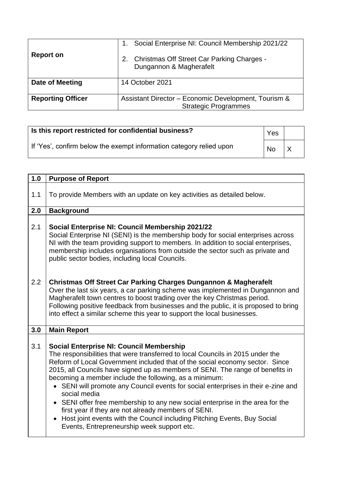|                          | Social Enterprise NI: Council Membership 2021/22                                    |
|--------------------------|-------------------------------------------------------------------------------------|
| <b>Report on</b>         | <b>Christmas Off Street Car Parking Charges -</b><br>Dungannon & Magherafelt        |
| Date of Meeting          | 14 October 2021                                                                     |
| <b>Reporting Officer</b> | Assistant Director - Economic Development, Tourism &<br><b>Strategic Programmes</b> |

| Is this report restricted for confidential business?                | Yes |  |
|---------------------------------------------------------------------|-----|--|
| If 'Yes', confirm below the exempt information category relied upon | No. |  |

| 1.0 | <b>Purpose of Report</b>                                                                                                                                                                                                                                                                                                                                                                                                                                                                                                                                                                                                                                                                                                                          |
|-----|---------------------------------------------------------------------------------------------------------------------------------------------------------------------------------------------------------------------------------------------------------------------------------------------------------------------------------------------------------------------------------------------------------------------------------------------------------------------------------------------------------------------------------------------------------------------------------------------------------------------------------------------------------------------------------------------------------------------------------------------------|
| 1.1 | To provide Members with an update on key activities as detailed below.                                                                                                                                                                                                                                                                                                                                                                                                                                                                                                                                                                                                                                                                            |
| 2.0 | <b>Background</b>                                                                                                                                                                                                                                                                                                                                                                                                                                                                                                                                                                                                                                                                                                                                 |
| 2.1 | Social Enterprise NI: Council Membership 2021/22<br>Social Enterprise NI (SENI) is the membership body for social enterprises across<br>NI with the team providing support to members. In addition to social enterprises,<br>membership includes organisations from outside the sector such as private and<br>public sector bodies, including local Councils.                                                                                                                                                                                                                                                                                                                                                                                     |
| 2.2 | <b>Christmas Off Street Car Parking Charges Dungannon &amp; Magherafelt</b><br>Over the last six years, a car parking scheme was implemented in Dungannon and<br>Magherafelt town centres to boost trading over the key Christmas period.<br>Following positive feedback from businesses and the public, it is proposed to bring<br>into effect a similar scheme this year to support the local businesses.                                                                                                                                                                                                                                                                                                                                       |
| 3.0 | <b>Main Report</b>                                                                                                                                                                                                                                                                                                                                                                                                                                                                                                                                                                                                                                                                                                                                |
| 3.1 | <b>Social Enterprise NI: Council Membership</b><br>The responsibilities that were transferred to local Councils in 2015 under the<br>Reform of Local Government included that of the social economy sector. Since<br>2015, all Councils have signed up as members of SENI. The range of benefits in<br>becoming a member include the following, as a minimum:<br>• SENI will promote any Council events for social enterprises in their e-zine and<br>social media<br>• SENI offer free membership to any new social enterprise in the area for the<br>first year if they are not already members of SENI.<br>Host joint events with the Council including Pitching Events, Buy Social<br>$\bullet$<br>Events, Entrepreneurship week support etc. |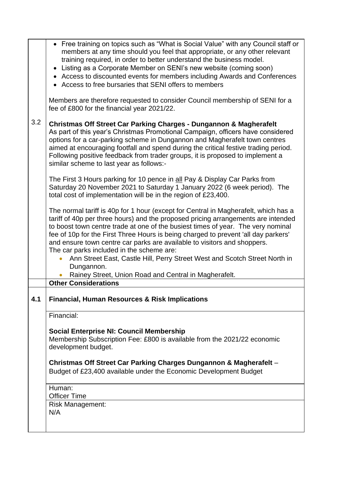|     | • Free training on topics such as "What is Social Value" with any Council staff or<br>members at any time should you feel that appropriate, or any other relevant<br>training required, in order to better understand the business model.<br>• Listing as a Corporate Member on SENI's new website (coming soon)<br>• Access to discounted events for members including Awards and Conferences<br>• Access to free bursaries that SENI offers to members<br>Members are therefore requested to consider Council membership of SENI for a |
|-----|------------------------------------------------------------------------------------------------------------------------------------------------------------------------------------------------------------------------------------------------------------------------------------------------------------------------------------------------------------------------------------------------------------------------------------------------------------------------------------------------------------------------------------------|
|     | fee of £800 for the financial year 2021/22.                                                                                                                                                                                                                                                                                                                                                                                                                                                                                              |
| 3.2 | <b>Christmas Off Street Car Parking Charges - Dungannon &amp; Magherafelt</b><br>As part of this year's Christmas Promotional Campaign, officers have considered<br>options for a car-parking scheme in Dungannon and Magherafelt town centres<br>aimed at encouraging footfall and spend during the critical festive trading period.<br>Following positive feedback from trader groups, it is proposed to implement a<br>similar scheme to last year as follows:-                                                                       |
|     | The First 3 Hours parking for 10 pence in all Pay & Display Car Parks from<br>Saturday 20 November 2021 to Saturday 1 January 2022 (6 week period). The<br>total cost of implementation will be in the region of £23,400.                                                                                                                                                                                                                                                                                                                |
|     | The normal tariff is 40p for 1 hour (except for Central in Magherafelt, which has a<br>tariff of 40p per three hours) and the proposed pricing arrangements are intended<br>to boost town centre trade at one of the busiest times of year. The very nominal<br>fee of 10p for the First Three Hours is being charged to prevent 'all day parkers'<br>and ensure town centre car parks are available to visitors and shoppers.<br>The car parks included in the scheme are:                                                              |
|     | Ann Street East, Castle Hill, Perry Street West and Scotch Street North in<br>Dungannon.                                                                                                                                                                                                                                                                                                                                                                                                                                                 |
|     | Rainey Street, Union Road and Central in Magherafelt.                                                                                                                                                                                                                                                                                                                                                                                                                                                                                    |
|     | <b>Other Considerations</b>                                                                                                                                                                                                                                                                                                                                                                                                                                                                                                              |
| 4.1 | <b>Financial, Human Resources &amp; Risk Implications</b>                                                                                                                                                                                                                                                                                                                                                                                                                                                                                |
|     | Financial:                                                                                                                                                                                                                                                                                                                                                                                                                                                                                                                               |
|     | <b>Social Enterprise NI: Council Membership</b>                                                                                                                                                                                                                                                                                                                                                                                                                                                                                          |
|     | Membership Subscription Fee: £800 is available from the 2021/22 economic<br>development budget.                                                                                                                                                                                                                                                                                                                                                                                                                                          |
|     | Christmas Off Street Car Parking Charges Dungannon & Magherafelt -<br>Budget of £23,400 available under the Economic Development Budget                                                                                                                                                                                                                                                                                                                                                                                                  |
|     | Human:                                                                                                                                                                                                                                                                                                                                                                                                                                                                                                                                   |
|     | <b>Officer Time</b><br><b>Risk Management:</b>                                                                                                                                                                                                                                                                                                                                                                                                                                                                                           |
|     | N/A                                                                                                                                                                                                                                                                                                                                                                                                                                                                                                                                      |
|     |                                                                                                                                                                                                                                                                                                                                                                                                                                                                                                                                          |